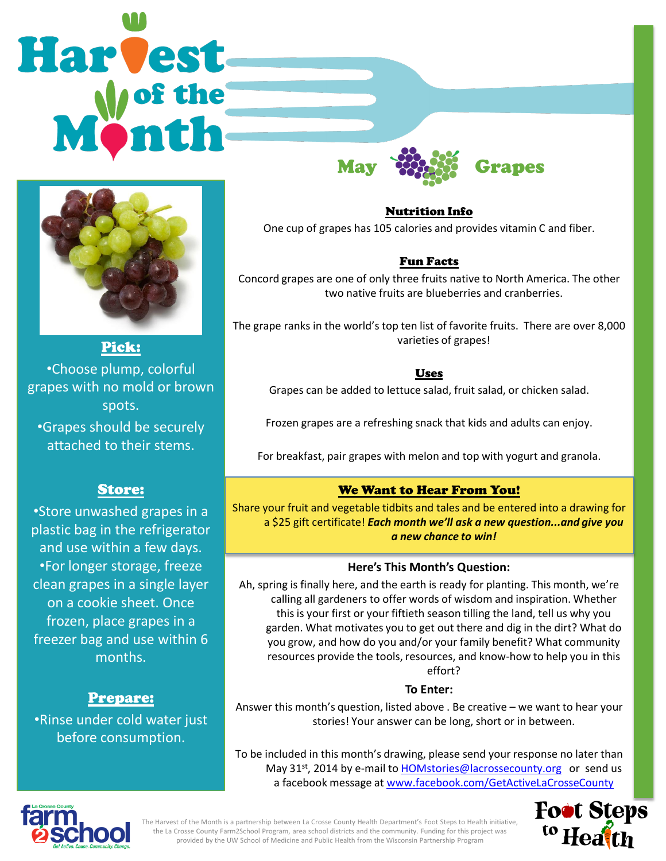# Harvest



Pick: •Choose plump, colorful grapes with no mold or brown spots.

•Grapes should be securely attached to their stems.

## Store:

•Store unwashed grapes in a plastic bag in the refrigerator and use within a few days. •For longer storage, freeze clean grapes in a single layer on a cookie sheet. Once frozen, place grapes in a freezer bag and use within 6 months.

# Prepare:

•Rinse under cold water just before consumption.

Nutrition Info One cup of grapes has 105 calories and provides vitamin C and fiber.

May **West Stapes** 

## Fun Facts

Concord grapes are one of only three fruits native to North America. The other two native fruits are blueberries and cranberries.

The grape ranks in the world's top ten list of favorite fruits. There are over 8,000 varieties of grapes!

#### Uses

Grapes can be added to lettuce salad, fruit salad, or chicken salad.

Frozen grapes are a refreshing snack that kids and adults can enjoy.

For breakfast, pair grapes with melon and top with yogurt and granola.

# We Want to Hear From You!

Share your fruit and vegetable tidbits and tales and be entered into a drawing for a \$25 gift certificate! *Each month we'll ask a new question...and give you a new chance to win!* 

## **Here's This Month's Question:**

Ah, spring is finally here, and the earth is ready for planting. This month, we're calling all gardeners to offer words of wisdom and inspiration. Whether this is your first or your fiftieth season tilling the land, tell us why you garden. What motivates you to get out there and dig in the dirt? What do you grow, and how do you and/or your family benefit? What community resources provide the tools, resources, and know-how to help you in this effort?

## **To Enter:**

Answer this month's question, listed above . Be creative – we want to hear your stories! Your answer can be long, short or in between.

To be included in this month's drawing, please send your response no later than May 31<sup>st</sup>, 2014 by e-mail to [HOMstories@lacrossecounty.org](mailto:HOMstories@lacrossecounty.org) or send us a facebook message at [www.facebook.com/GetActiveLaCrosseCounty](http://www.facebook.com/GetActiveLaCrosseCounty)



The Harvest of the Month is a partnership between La Crosse County Health Department's Foot Steps to Health initiative, the La Crosse County Farm2School Program, area school districts and the community. Funding for this project was provided by the UW School of Medicine and Public Health from the Wisconsin Partnership Program